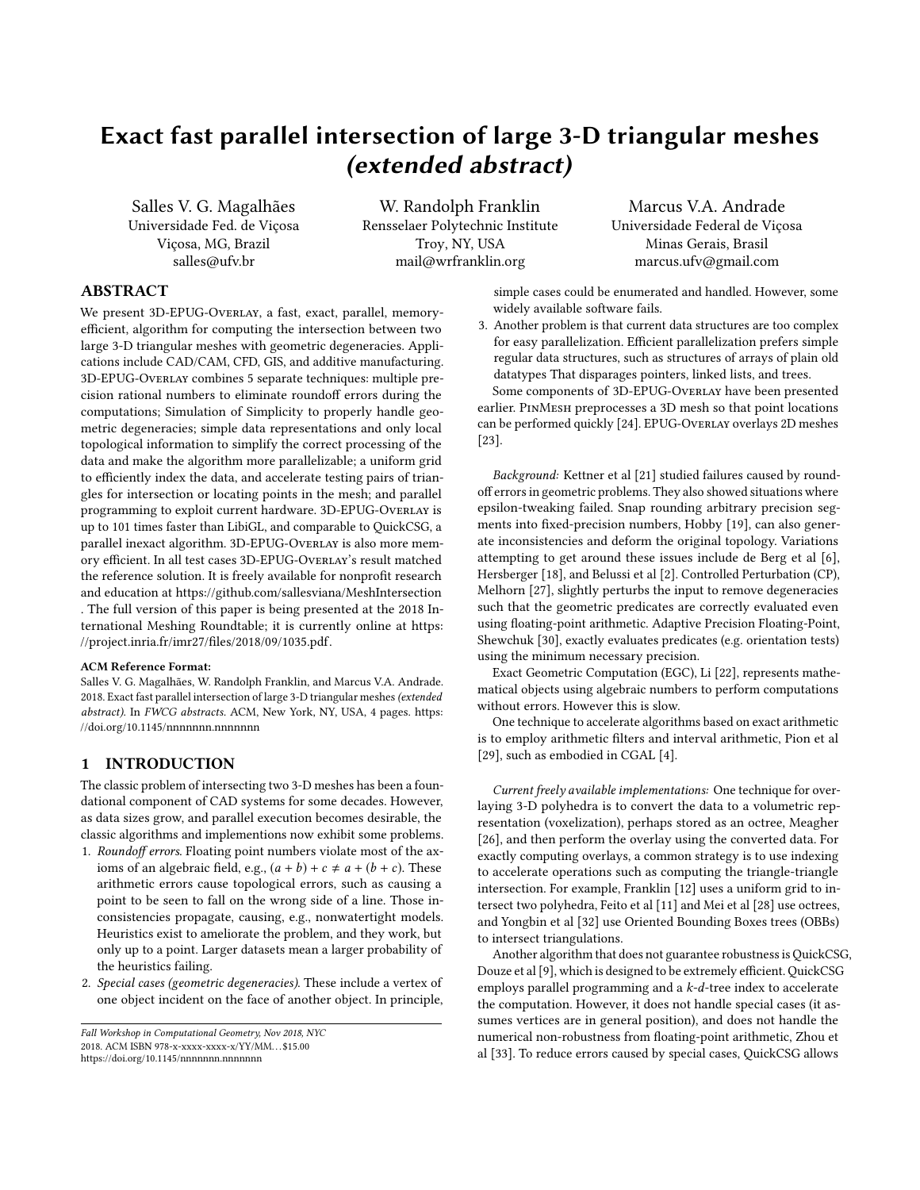# Exact fast parallel intersection of large 3-D triangular meshes (extended abstract)

Salles V. G. Magalhães Universidade Fed. de Viçosa Viçosa, MG, Brazil salles@ufv.br

W. Randolph Franklin Rensselaer Polytechnic Institute Troy, NY, USA mail@wrfranklin.org

Marcus V.A. Andrade Universidade Federal de Viçosa Minas Gerais, Brasil marcus.ufv@gmail.com

## ABSTRACT

We present 3D-EPUG-Overlay, a fast, exact, parallel, memoryefficient, algorithm for computing the intersection between two large 3-D triangular meshes with geometric degeneracies. Applications include CAD/CAM, CFD, GIS, and additive manufacturing. 3D-EPUG-Overlay combines 5 separate techniques: multiple precision rational numbers to eliminate roundoff errors during the computations; Simulation of Simplicity to properly handle geometric degeneracies; simple data representations and only local topological information to simplify the correct processing of the data and make the algorithm more parallelizable; a uniform grid to efficiently index the data, and accelerate testing pairs of triangles for intersection or locating points in the mesh; and parallel programming to exploit current hardware. 3D-EPUG-Overlay is up to 101 times faster than LibiGL, and comparable to QuickCSG, a parallel inexact algorithm. 3D-EPUG-Overlay is also more memory efficient. In all test cases 3D-EPUG-Overlay's result matched the reference solution. It is freely available for nonprofit research and education at<https://github.com/sallesviana/MeshIntersection> . The full version of this paper is being presented at the 2018 International Meshing Roundtable; it is currently online at [https:](https://project.inria.fr/imr27/files/2018/09/1035.pdf) [//project.inria.fr/imr27/files/2018/09/1035.pdf.](https://project.inria.fr/imr27/files/2018/09/1035.pdf)

#### ACM Reference Format:

Salles V. G. Magalhães, W. Randolph Franklin, and Marcus V.A. Andrade. 2018. Exact fast parallel intersection of large 3-D triangular meshes(extended abstract). In FWCG abstracts. ACM, New York, NY, USA, [4](#page-3-0) pages. [https:](https://doi.org/10.1145/nnnnnnn.nnnnnnn) [//doi.org/10.1145/nnnnnnn.nnnnnnn](https://doi.org/10.1145/nnnnnnn.nnnnnnn)

### 1 INTRODUCTION

The classic problem of intersecting two 3-D meshes has been a foundational component of CAD systems for some decades. However, as data sizes grow, and parallel execution becomes desirable, the classic algorithms and implementions now exhibit some problems.

- 1. Roundoff errors. Floating point numbers violate most of the axioms of an algebraic field, e.g.,  $(a + b) + c \neq a + (b + c)$ . These arithmetic errors cause topological errors, such as causing a point to be seen to fall on the wrong side of a line. Those inconsistencies propagate, causing, e.g., nonwatertight models. Heuristics exist to ameliorate the problem, and they work, but only up to a point. Larger datasets mean a larger probability of the heuristics failing.
- 2. Special cases (geometric degeneracies). These include a vertex of one object incident on the face of another object. In principle,

simple cases could be enumerated and handled. However, some widely available software fails.

3. Another problem is that current data structures are too complex for easy parallelization. Efficient parallelization prefers simple regular data structures, such as structures of arrays of plain old datatypes That disparages pointers, linked lists, and trees.

Some components of 3D-EPUG-Overlay have been presented earlier. PinMesh preprocesses a 3D mesh so that point locations can be performed quickly [\[24\]](#page-3-1). EPUG-Overlay overlays 2D meshes [\[23\]](#page-3-2).

Background: Kettner et al [\[21\]](#page-3-3) studied failures caused by roundoff errors in geometric problems. They also showed situations where epsilon-tweaking failed. Snap rounding arbitrary precision segments into fixed-precision numbers, Hobby [\[19\]](#page-3-4), can also generate inconsistencies and deform the original topology. Variations attempting to get around these issues include de Berg et al [\[6\]](#page-3-5), Hersberger [\[18\]](#page-3-6), and Belussi et al [\[2\]](#page-3-7). Controlled Perturbation (CP), Melhorn [\[27\]](#page-3-8), slightly perturbs the input to remove degeneracies such that the geometric predicates are correctly evaluated even using floating-point arithmetic. Adaptive Precision Floating-Point, Shewchuk [\[30\]](#page-3-9), exactly evaluates predicates (e.g. orientation tests) using the minimum necessary precision.

Exact Geometric Computation (EGC), Li [\[22\]](#page-3-10), represents mathematical objects using algebraic numbers to perform computations without errors. However this is slow.

One technique to accelerate algorithms based on exact arithmetic is to employ arithmetic filters and interval arithmetic, Pion et al [\[29\]](#page-3-11), such as embodied in CGAL [\[4\]](#page-3-12).

Current freely available implementations: One technique for overlaying 3-D polyhedra is to convert the data to a volumetric representation (voxelization), perhaps stored as an octree, Meagher [\[26\]](#page-3-13), and then perform the overlay using the converted data. For exactly computing overlays, a common strategy is to use indexing to accelerate operations such as computing the triangle-triangle intersection. For example, Franklin [\[12\]](#page-3-14) uses a uniform grid to intersect two polyhedra, Feito et al [\[11\]](#page-3-15) and Mei et al [\[28\]](#page-3-16) use octrees, and Yongbin et al [\[32\]](#page-3-17) use Oriented Bounding Boxes trees (OBBs) to intersect triangulations.

Another algorithm that does not guarantee robustness is QuickCSG, Douze et al [\[9\]](#page-3-18), which is designed to be extremely efficient. QuickCSG employs parallel programming and a k-d-tree index to accelerate the computation. However, it does not handle special cases (it assumes vertices are in general position), and does not handle the numerical non-robustness from floating-point arithmetic, Zhou et al [\[33\]](#page-3-19). To reduce errors caused by special cases, QuickCSG allows

Fall Workshop in Computational Geometry, Nov 2018, NYC 2018. ACM ISBN 978-x-xxxx-xxxx-x/YY/MM. . . \$15.00 <https://doi.org/10.1145/nnnnnnn.nnnnnnn>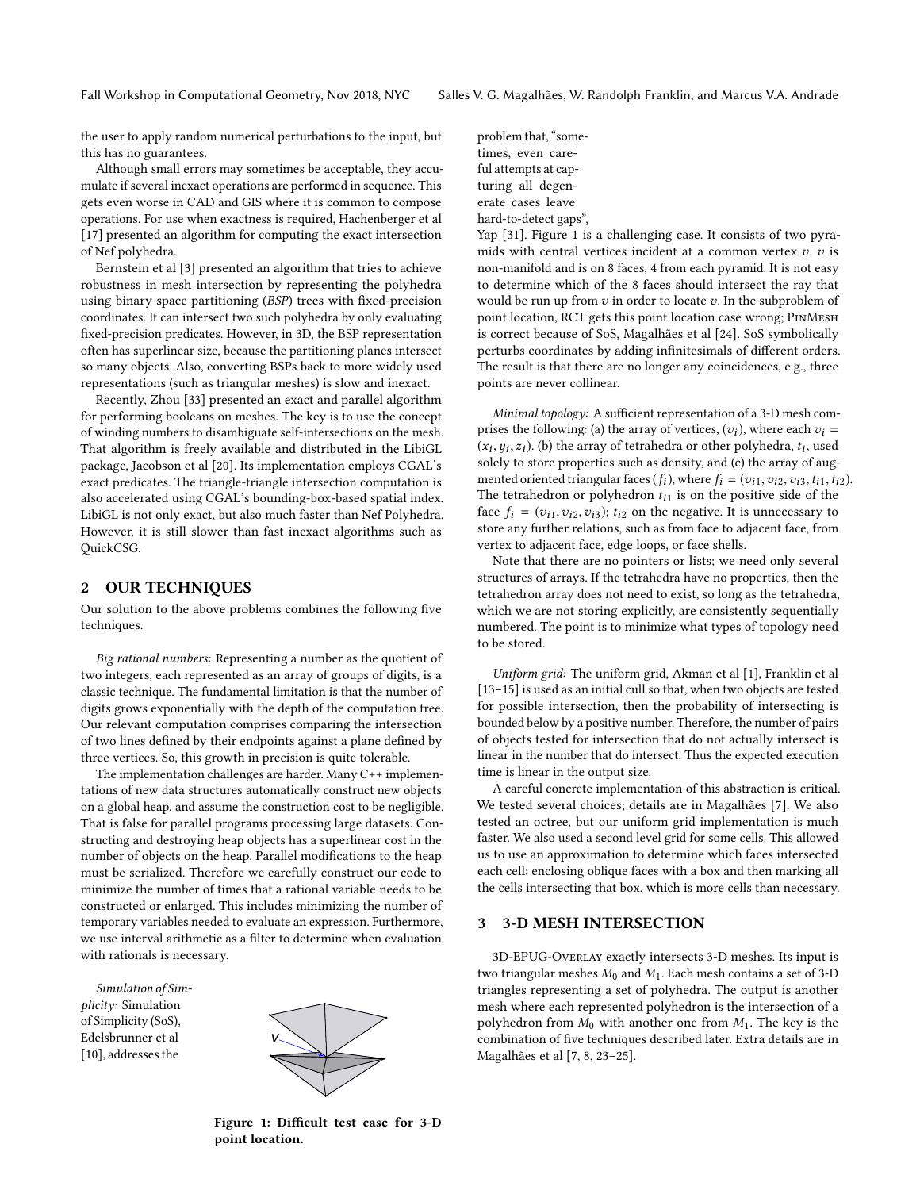the user to apply random numerical perturbations to the input, but this has no guarantees.

Although small errors may sometimes be acceptable, they accumulate if several inexact operations are performed in sequence. This gets even worse in CAD and GIS where it is common to compose operations. For use when exactness is required, Hachenberger et al [\[17\]](#page-3-20) presented an algorithm for computing the exact intersection of Nef polyhedra.

Bernstein et al [\[3\]](#page-3-21) presented an algorithm that tries to achieve robustness in mesh intersection by representing the polyhedra using binary space partitioning (BSP) trees with fixed-precision coordinates. It can intersect two such polyhedra by only evaluating fixed-precision predicates. However, in 3D, the BSP representation often has superlinear size, because the partitioning planes intersect so many objects. Also, converting BSPs back to more widely used representations (such as triangular meshes) is slow and inexact.

Recently, Zhou [\[33\]](#page-3-19) presented an exact and parallel algorithm for performing booleans on meshes. The key is to use the concept of winding numbers to disambiguate self-intersections on the mesh. That algorithm is freely available and distributed in the LibiGL package, Jacobson et al [\[20\]](#page-3-22). Its implementation employs CGAL's exact predicates. The triangle-triangle intersection computation is also accelerated using CGAL's bounding-box-based spatial index. LibiGL is not only exact, but also much faster than Nef Polyhedra. However, it is still slower than fast inexact algorithms such as QuickCSG.

## 2 OUR TECHNIQUES

Our solution to the above problems combines the following five techniques.

Big rational numbers: Representing a number as the quotient of two integers, each represented as an array of groups of digits, is a classic technique. The fundamental limitation is that the number of digits grows exponentially with the depth of the computation tree. Our relevant computation comprises comparing the intersection of two lines defined by their endpoints against a plane defined by three vertices. So, this growth in precision is quite tolerable.

The implementation challenges are harder. Many C++ implementations of new data structures automatically construct new objects on a global heap, and assume the construction cost to be negligible. That is false for parallel programs processing large datasets. Constructing and destroying heap objects has a superlinear cost in the number of objects on the heap. Parallel modifications to the heap must be serialized. Therefore we carefully construct our code to minimize the number of times that a rational variable needs to be constructed or enlarged. This includes minimizing the number of temporary variables needed to evaluate an expression. Furthermore, we use interval arithmetic as a filter to determine when evaluation with rationals is necessary.

Simulation of Simplicity: Simulation of Simplicity (SoS), Edelsbrunner et al [\[10\]](#page-3-23), addresses the

<span id="page-1-0"></span>

Figure 1: Difficult test case for 3-D point location.

problem that, "sometimes, even careful attempts at capturing all degenerate cases leave hard-to-detect gaps",

Yap [\[31\]](#page-3-24). Figure [1](#page-1-0) is a challenging case. It consists of two pyramids with central vertices incident at a common vertex  $v$ .  $v$  is non-manifold and is on 8 faces, 4 from each pyramid. It is not easy to determine which of the 8 faces should intersect the ray that would be run up from  $v$  in order to locate  $v$ . In the subproblem of point location, RCT gets this point location case wrong; PinMesh is correct because of SoS, Magalhães et al [\[24\]](#page-3-1). SoS symbolically perturbs coordinates by adding infinitesimals of different orders. The result is that there are no longer any coincidences, e.g., three points are never collinear.

Minimal topology: A sufficient representation of a 3-D mesh comprises the following: (a) the array of vertices,  $(v_i)$ , where each  $v_i =$  $(x_i, y_i, z_i)$ . (b) the array of tetrahedra or other polyhedra,  $t_i$ , used<br>solely to store properties such as density and (c) the array of august solely to store properties such as density, and (c) the array of augmented oriented triangular faces ( $f_i$ ), where  $f_i = (v_{i1}, v_{i2}, v_{i3}, t_{i1}, t_{i2})$ . The tetrahedron or polyhedron  $t_{i1}$  is on the positive side of the face  $f_i = (v_{i1}, v_{i2}, v_{i3})$ ;  $t_{i2}$  on the negative. It is unnecessary to store any further relations, such as from face to adjacent face, from vertex to adjacent face, edge loops, or face shells.

Note that there are no pointers or lists; we need only several structures of arrays. If the tetrahedra have no properties, then the tetrahedron array does not need to exist, so long as the tetrahedra, which we are not storing explicitly, are consistently sequentially numbered. The point is to minimize what types of topology need to be stored.

Uniform grid: The uniform grid, Akman et al [\[1\]](#page-3-25), Franklin et al [\[13](#page-3-26)[–15\]](#page-3-27) is used as an initial cull so that, when two objects are tested for possible intersection, then the probability of intersecting is bounded below by a positive number. Therefore, the number of pairs of objects tested for intersection that do not actually intersect is linear in the number that do intersect. Thus the expected execution time is linear in the output size.

A careful concrete implementation of this abstraction is critical. We tested several choices; details are in Magalhães [\[7\]](#page-3-28). We also tested an octree, but our uniform grid implementation is much faster. We also used a second level grid for some cells. This allowed us to use an approximation to determine which faces intersected each cell: enclosing oblique faces with a box and then marking all the cells intersecting that box, which is more cells than necessary.

#### 3 3-D MESH INTERSECTION

3D-EPUG-Overlay exactly intersects 3-D meshes. Its input is two triangular meshes  $M_0$  and  $M_1$ . Each mesh contains a set of 3-D triangles representing a set of polyhedra. The output is another mesh where each represented polyhedron is the intersection of a polyhedron from  $M_0$  with another one from  $M_1$ . The key is the combination of five techniques described later. Extra details are in Magalhães et al [\[7,](#page-3-28) [8,](#page-3-29) [23](#page-3-2)[–25\]](#page-3-30).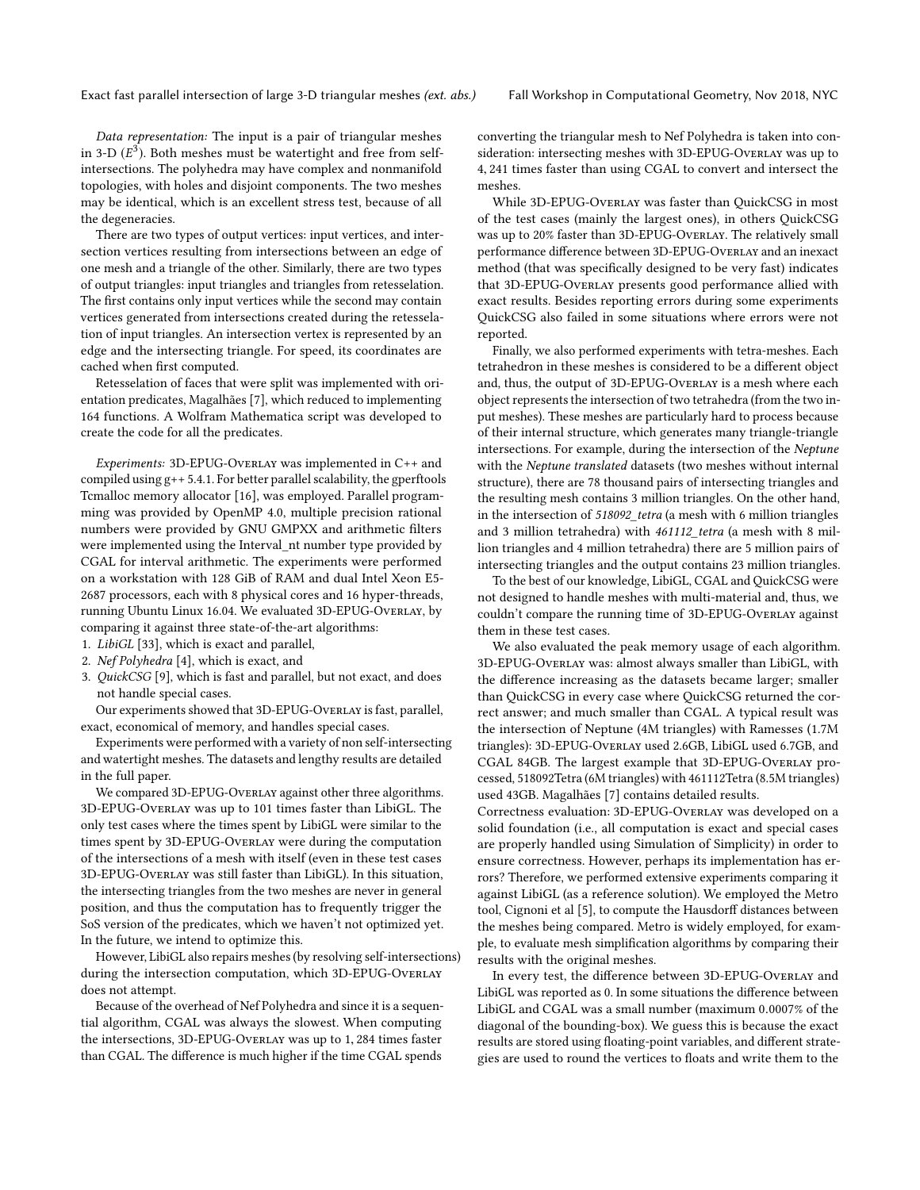Data representation: The input is a pair of triangular meshes in 3-D  $(E^3)$ . Both meshes must be watertight and free from self-<br>intersections. The polyhedra may have complex and nonmanifold intersections. The polyhedra may have complex and nonmanifold topologies, with holes and disjoint components. The two meshes may be identical, which is an excellent stress test, because of all the degeneracies.

There are two types of output vertices: input vertices, and intersection vertices resulting from intersections between an edge of one mesh and a triangle of the other. Similarly, there are two types of output triangles: input triangles and triangles from retesselation. The first contains only input vertices while the second may contain vertices generated from intersections created during the retesselation of input triangles. An intersection vertex is represented by an edge and the intersecting triangle. For speed, its coordinates are cached when first computed.

Retesselation of faces that were split was implemented with orientation predicates, Magalhães [\[7\]](#page-3-28), which reduced to implementing 164 functions. A Wolfram Mathematica script was developed to create the code for all the predicates.

Experiments: 3D-EPUG-Overlay was implemented in C++ and compiled using g++ 5.4.1. For better parallel scalability, the gperftools Tcmalloc memory allocator [\[16\]](#page-3-31), was employed. Parallel programming was provided by OpenMP 4.0, multiple precision rational numbers were provided by GNU GMPXX and arithmetic filters were implemented using the Interval\_nt number type provided by CGAL for interval arithmetic. The experiments were performed on a workstation with 128 GiB of RAM and dual Intel Xeon E5- 2687 processors, each with 8 physical cores and 16 hyper-threads, running Ubuntu Linux 16.04. We evaluated 3D-EPUG-Overlay, by comparing it against three state-of-the-art algorithms:

- 1. LibiGL [\[33\]](#page-3-19), which is exact and parallel,
- 2. Nef Polyhedra [\[4\]](#page-3-12), which is exact, and
- 3. QuickCSG [\[9\]](#page-3-18), which is fast and parallel, but not exact, and does not handle special cases.

Our experiments showed that 3D-EPUG-Overlay is fast, parallel, exact, economical of memory, and handles special cases.

Experiments were performed with a variety of non self-intersecting and watertight meshes. The datasets and lengthy results are detailed in the full paper.

We compared 3D-EPUG-Overlay against other three algorithms. 3D-EPUG-Overlay was up to 101 times faster than LibiGL. The only test cases where the times spent by LibiGL were similar to the times spent by 3D-EPUG-Overlay were during the computation of the intersections of a mesh with itself (even in these test cases 3D-EPUG-Overlay was still faster than LibiGL). In this situation, the intersecting triangles from the two meshes are never in general position, and thus the computation has to frequently trigger the SoS version of the predicates, which we haven't not optimized yet. In the future, we intend to optimize this.

However, LibiGL also repairs meshes (by resolving self-intersections) during the intersection computation, which 3D-EPUG-OverLAY does not attempt.

Because of the overhead of Nef Polyhedra and since it is a sequential algorithm, CGAL was always the slowest. When computing the intersections, 3D-EPUG-Overlay was up to <sup>1</sup>, <sup>284</sup> times faster than CGAL. The difference is much higher if the time CGAL spends

converting the triangular mesh to Nef Polyhedra is taken into consideration: intersecting meshes with 3D-EPUG-Overlay was up to <sup>4</sup>, <sup>241</sup> times faster than using CGAL to convert and intersect the meshes.

While 3D-EPUG-Overlay was faster than QuickCSG in most of the test cases (mainly the largest ones), in others QuickCSG was up to 20% faster than 3D-EPUG-Overlay. The relatively small performance difference between 3D-EPUG-OvERLAY and an inexact method (that was specifically designed to be very fast) indicates that 3D-EPUG-Overlay presents good performance allied with exact results. Besides reporting errors during some experiments QuickCSG also failed in some situations where errors were not reported.

Finally, we also performed experiments with tetra-meshes. Each tetrahedron in these meshes is considered to be a different object and, thus, the output of 3D-EPUG-Overlay is a mesh where each object represents the intersection of two tetrahedra (from the two input meshes). These meshes are particularly hard to process because of their internal structure, which generates many triangle-triangle intersections. For example, during the intersection of the Neptune with the Neptune translated datasets (two meshes without internal structure), there are 78 thousand pairs of intersecting triangles and the resulting mesh contains 3 million triangles. On the other hand, in the intersection of 518092 tetra (a mesh with 6 million triangles and 3 million tetrahedra) with 461112 tetra (a mesh with 8 million triangles and 4 million tetrahedra) there are 5 million pairs of intersecting triangles and the output contains 23 million triangles.

To the best of our knowledge, LibiGL, CGAL and QuickCSG were not designed to handle meshes with multi-material and, thus, we couldn't compare the running time of 3D-EPUG-Overlay against them in these test cases.

We also evaluated the peak memory usage of each algorithm. 3D-EPUG-Overlay was: almost always smaller than LibiGL, with the difference increasing as the datasets became larger; smaller than QuickCSG in every case where QuickCSG returned the correct answer; and much smaller than CGAL. A typical result was the intersection of Neptune (4M triangles) with Ramesses (1.7M triangles): 3D-EPUG-Overlay used 2.6GB, LibiGL used 6.7GB, and CGAL 84GB. The largest example that 3D-EPUG-Overlay processed, 518092Tetra (6M triangles) with 461112Tetra (8.5M triangles) used 43GB. Magalhães [\[7\]](#page-3-28) contains detailed results.

Correctness evaluation: 3D-EPUG-Overlay was developed on a solid foundation (i.e., all computation is exact and special cases are properly handled using Simulation of Simplicity) in order to ensure correctness. However, perhaps its implementation has errors? Therefore, we performed extensive experiments comparing it against LibiGL (as a reference solution). We employed the Metro tool, Cignoni et al [\[5\]](#page-3-32), to compute the Hausdorff distances between the meshes being compared. Metro is widely employed, for example, to evaluate mesh simplification algorithms by comparing their results with the original meshes.

In every test, the difference between 3D-EPUG-Overlay and LibiGL was reported as 0. In some situations the difference between LibiGL and CGAL was a small number (maximum <sup>0</sup>.0007% of the diagonal of the bounding-box). We guess this is because the exact results are stored using floating-point variables, and different strategies are used to round the vertices to floats and write them to the